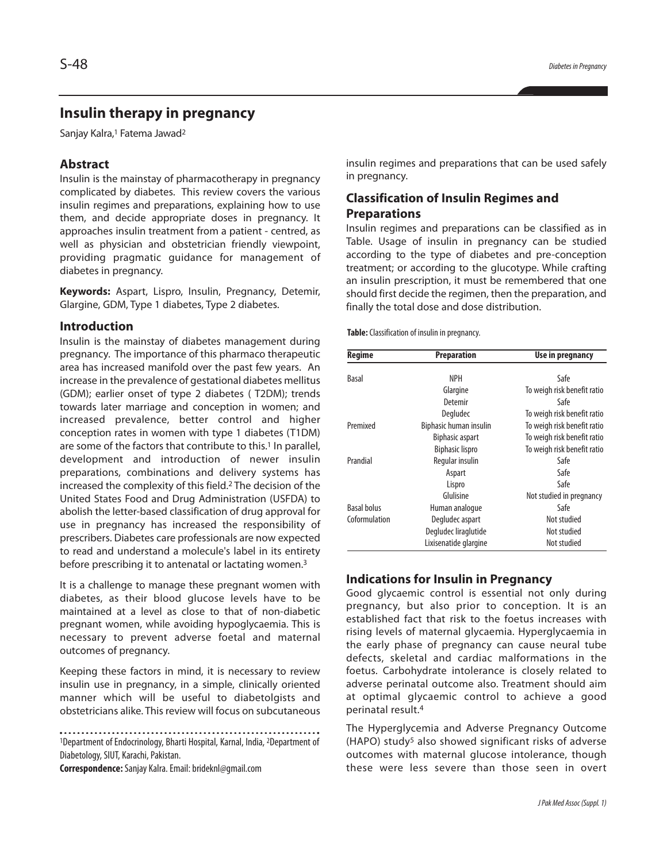# **Insulin therapy in pregnancy**

Sanjay Kalra, <sup>1</sup> Fatema Jawad2

# **Abstract**

Insulin is the mainstay of pharmacotherapy in pregnancy complicated by diabetes. This review covers the various insulin regimes and preparations, explaining how to use them, and decide appropriate doses in pregnancy. It approaches insulin treatment from a patient - centred, as well as physician and obstetrician friendly viewpoint, providing pragmatic guidance for management of diabetes in pregnancy.

**Keywords:** Aspart, Lispro, Insulin, Pregnancy, Detemir, Glargine, GDM, Type 1 diabetes, Type 2 diabetes.

### **Introduction**

Insulin is the mainstay of diabetes management during pregnancy. The importance of this pharmaco therapeutic area has increased manifold over the past few years. An increase in the prevalence of gestational diabetes mellitus (GDM); earlier onset of type 2 diabetes ( T2DM); trends towards later marriage and conception in women; and increased prevalence, better control and higher conception rates in women with type 1 diabetes (T1DM) are some of the factors that contribute to this. <sup>1</sup> In parallel, development and introduction of newer insulin preparations, combinations and delivery systems has increased the complexity of this field. <sup>2</sup> The decision of the United States Food and Drug Administration (USFDA) to abolish the letter-based classification of drug approval for use in pregnancy has increased the responsibility of prescribers. Diabetes care professionals are now expected to read and understand a molecule's label in its entirety before prescribing it to antenatal or lactating women. 3

It is a challenge to manage these pregnant women with diabetes, as their blood glucose levels have to be maintained at a level as close to that of non-diabetic pregnant women, while avoiding hypoglycaemia. This is necessary to prevent adverse foetal and maternal outcomes of pregnancy.

Keeping these factors in mind, it is necessary to review insulin use in pregnancy, in a simple, clinically oriented manner which will be useful to diabetolgists and obstetricians alike. This review will focus on subcutaneous

<sup>1</sup>Department of Endocrinology, Bharti Hospital, Karnal, India, <sup>2</sup>Department of Diabetology, SIUT, Karachi, Pakistan.

**Correspondence:**Sanjay Kalra.Email:brideknl@gmail.com

insulin regimes and preparations that can be used safely in pregnancy.

# **Classification of Insulin Regimes and Preparations**

Insulin regimes and preparations can be classified as in Table. Usage of insulin in pregnancy can be studied according to the type of diabetes and pre-conception treatment; or according to the glucotype. While crafting an insulin prescription, it must be remembered that one should first decide the regimen, then the preparation, and finally the total dose and dose distribution.

**Table:**Classification of insulin in pregnancy.

| <b>Regime</b>      | <b>Preparation</b>     | Use in pregnancy            |
|--------------------|------------------------|-----------------------------|
| <b>Basal</b>       | <b>NPH</b>             | Safe                        |
|                    |                        |                             |
|                    | Glargine               | To weigh risk benefit ratio |
|                    | Detemir                | Safe                        |
|                    | Degludec               | To weigh risk benefit ratio |
| Premixed           | Biphasic human insulin | To weigh risk benefit ratio |
|                    | <b>Biphasic aspart</b> | To weigh risk benefit ratio |
|                    | <b>Biphasic lispro</b> | To weigh risk benefit ratio |
| Prandial           | Regular insulin        | Safe                        |
|                    | Aspart                 | Safe                        |
|                    | Lispro                 | Safe                        |
|                    | Glulisine              | Not studied in pregnancy    |
| <b>Basal bolus</b> | Human analogue         | Safe                        |
| Coformulation      | Degludec aspart        | Not studied                 |
|                    | Degludec liraglutide   | Not studied                 |
|                    | Lixisenatide glargine  | Not studied                 |

### **Indications for Insulin in Pregnancy**

Good glycaemic control is essential not only during pregnancy, but also prior to conception. It is an established fact that risk to the foetus increases with rising levels of maternal glycaemia. Hyperglycaemia in the early phase of pregnancy can cause neural tube defects, skeletal and cardiac malformations in the foetus. Carbohydrate intolerance is closely related to adverse perinatal outcome also. Treatment should aim at optimal glycaemic control to achieve a good perinatal result. 4

The Hyperglycemia and Adverse Pregnancy Outcome (HAPO) study<sup>5</sup> also showed significant risks of adverse outcomes with maternal glucose intolerance, though these were less severe than those seen in overt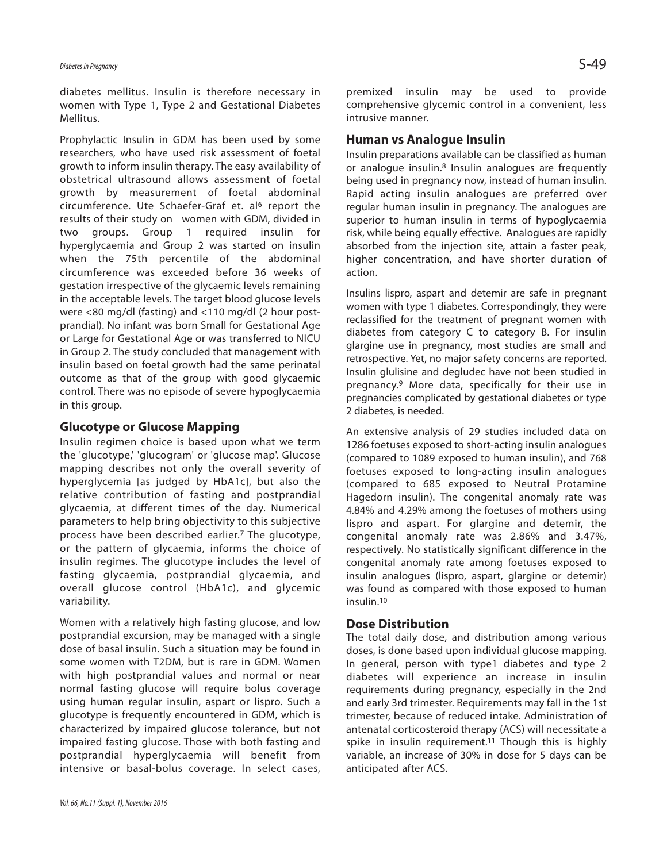diabetes mellitus. Insulin is therefore necessary in women with Type 1, Type 2 and Gestational Diabetes Mellitus.

Prophylactic Insulin in GDM has been used by some researchers, who have used risk assessment of foetal growth to inform insulin therapy. The easy availability of obstetrical ultrasound allows assessment of foetal growth by measurement of foetal abdominal circumference. Ute Schaefer-Graf et. al<sup>6</sup> report the results of their study on women with GDM, divided in two groups. Group 1 required insulin for hyperglycaemia and Group 2 was started on insulin when the 75th percentile of the abdominal circumference was exceeded before 36 weeks of gestation irrespective of the glycaemic levels remaining in the acceptable levels. The target blood glucose levels were <80 mg/dl (fasting) and <110 mg/dl (2 hour postprandial). No infant was born Small for Gestational Age or Large for Gestational Age or was transferred to NICU in Group 2. The study concluded that management with insulin based on foetal growth had the same perinatal outcome as that of the group with good glycaemic control. There was no episode of severe hypoglycaemia in this group.

# **Glucotype or Glucose Mapping**

Insulin regimen choice is based upon what we term the 'glucotype,' 'glucogram' or 'glucose map'. Glucose mapping describes not only the overall severity of hyperglycemia [as judged by HbA1c], but also the relative contribution of fasting and postprandial glycaemia, at different times of the day. Numerical parameters to help bring objectivity to this subjective process have been described earlier.7 The glucotype, or the pattern of glycaemia, informs the choice of insulin regimes. The glucotype includes the level of fasting glycaemia, postprandial glycaemia, and overall glucose control (HbA1c), and glycemic variability.

Women with a relatively high fasting glucose, and low postprandial excursion, may be managed with a single dose of basal insulin. Such a situation may be found in some women with T2DM, but is rare in GDM. Women with high postprandial values and normal or near normal fasting glucose will require bolus coverage using human regular insulin, aspart or lispro. Such a glucotype is frequently encountered in GDM, which is characterized by impaired glucose tolerance, but not impaired fasting glucose. Those with both fasting and postprandial hyperglycaemia will benefit from intensive or basal-bolus coverage. In select cases, premixed insulin may be used to provide comprehensive glycemic control in a convenient, less intrusive manner.

# **Human vs Analogue Insulin**

Insulin preparations available can be classified as human or analogue insulin.<sup>8</sup> Insulin analogues are frequently being used in pregnancy now, instead of human insulin. Rapid acting insulin analogues are preferred over regular human insulin in pregnancy. The analogues are superior to human insulin in terms of hypoglycaemia risk, while being equally effective. Analogues are rapidly absorbed from the injection site, attain a faster peak, higher concentration, and have shorter duration of action.

Insulins lispro, aspart and detemir are safe in pregnant women with type 1 diabetes. Correspondingly, they were reclassified for the treatment of pregnant women with diabetes from category C to category B. For insulin glargine use in pregnancy, most studies are small and retrospective. Yet, no major safety concerns are reported. Insulin glulisine and degludec have not been studied in pregnancy. <sup>9</sup> More data, specifically for their use in pregnancies complicated by gestational diabetes or type 2 diabetes, is needed.

An extensive analysis of 29 studies included data on 1286 foetuses exposed to short-acting insulin analogues (compared to 1089 exposed to human insulin), and 768 foetuses exposed to long-acting insulin analogues (compared to 685 exposed to Neutral Protamine Hagedorn insulin). The congenital anomaly rate was 4.84% and 4.29% among the foetuses of mothers using lispro and aspart. For glargine and detemir, the congenital anomaly rate was 2.86% and 3.47%, respectively. No statistically significant difference in the congenital anomaly rate among foetuses exposed to insulin analogues (lispro, aspart, glargine or detemir) was found as compared with those exposed to human insulin. 10

### **Dose Distribution**

The total daily dose, and distribution among various doses, is done based upon individual glucose mapping. In general, person with type1 diabetes and type 2 diabetes will experience an increase in insulin requirements during pregnancy, especially in the 2nd and early 3rd trimester. Requirements may fall in the 1st trimester, because of reduced intake. Administration of antenatal corticosteroid therapy (ACS) will necessitate a spike in insulin requirement. <sup>11</sup> Though this is highly variable, an increase of 30% in dose for 5 days can be anticipated after ACS.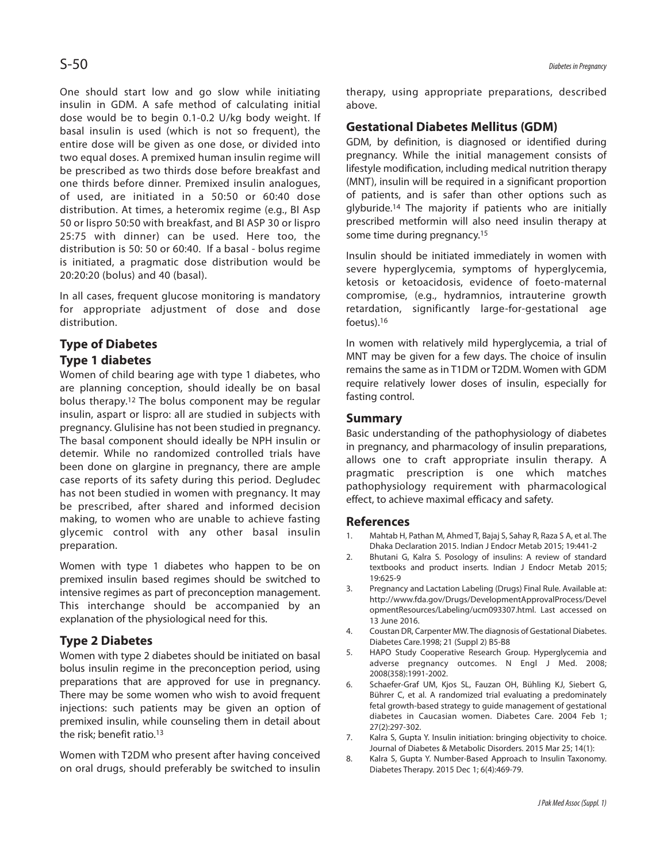One should start low and go slow while initiating insulin in GDM. A safe method of calculating initial dose would be to begin 0.1-0.2 U/kg body weight. If basal insulin is used (which is not so frequent), the entire dose will be given as one dose, or divided into two equal doses. A premixed human insulin regime will be prescribed as two thirds dose before breakfast and one thirds before dinner. Premixed insulin analogues, of used, are initiated in a 50:50 or 60:40 dose distribution. At times, a heteromix regime (e.g., BI Asp 50 or lispro 50:50 with breakfast, and BI ASP 30 or lispro 25:75 with dinner) can be used. Here too, the distribution is 50: 50 or 60:40. If a basal - bolus regime is initiated, a pragmatic dose distribution would be 20:20:20 (bolus) and 40 (basal).

In all cases, frequent glucose monitoring is mandatory for appropriate adjustment of dose and dose distribution.

# **Type of Diabetes**

# **Type 1 diabetes**

Women of child bearing age with type 1 diabetes, who are planning conception, should ideally be on basal bolus therapy. <sup>12</sup> The bolus component may be regular insulin, aspart or lispro: all are studied in subjects with pregnancy. Glulisine has not been studied in pregnancy. The basal component should ideally be NPH insulin or detemir. While no randomized controlled trials have been done on glargine in pregnancy, there are ample case reports of its safety during this period. Degludec has not been studied in women with pregnancy. It may be prescribed, after shared and informed decision making, to women who are unable to achieve fasting glycemic control with any other basal insulin preparation.

Women with type 1 diabetes who happen to be on premixed insulin based regimes should be switched to intensive regimes as part of preconception management. This interchange should be accompanied by an explanation of the physiological need for this.

# **Type 2 Diabetes**

Women with type 2 diabetes should be initiated on basal bolus insulin regime in the preconception period, using preparations that are approved for use in pregnancy. There may be some women who wish to avoid frequent injections: such patients may be given an option of premixed insulin, while counseling them in detail about the risk; benefit ratio. 13

Women with T2DM who present after having conceived on oral drugs, should preferably be switched to insulin therapy, using appropriate preparations, described above.

# **Gestational Diabetes Mellitus (GDM)**

GDM, by definition, is diagnosed or identified during pregnancy. While the initial management consists of lifestyle modification, including medical nutrition therapy (MNT), insulin will be required in a significant proportion of patients, and is safer than other options such as glyburide. <sup>14</sup> The majority if patients who are initially prescribed metformin will also need insulin therapy at some time during pregnancy. 15

Insulin should be initiated immediately in women with severe hyperglycemia, symptoms of hyperglycemia, ketosis or ketoacidosis, evidence of foeto-maternal compromise, (e.g., hydramnios, intrauterine growth retardation, significantly large-for-gestational age foetus). 16

In women with relatively mild hyperglycemia, a trial of MNT may be given for a few days. The choice of insulin remains the same as in T1DM or T2DM. Women with GDM require relatively lower doses of insulin, especially for fasting control.

### **Summary**

Basic understanding of the pathophysiology of diabetes in pregnancy, and pharmacology of insulin preparations, allows one to craft appropriate insulin therapy. A pragmatic prescription is one which matches pathophysiology requirement with pharmacological effect, to achieve maximal efficacy and safety.

### **References**

- 1. Mahtab H, Pathan M, Ahmed T, Bajaj S, Sahay R, Raza S A, et al. The Dhaka Declaration 2015. Indian J Endocr Metab 2015; 19:441-2
- 2. Bhutani G, Kalra S. Posology of insulins: A review of standard textbooks and product inserts. Indian J Endocr Metab 2015; 19:625-9
- 3. Pregnancy and Lactation Labeling (Drugs) Final Rule. Available at: http://www.fda.gov/Drugs/DevelopmentApprovalProcess/Devel opmentResources/Labeling/ucm093307.html. Last accessed on 13 June 2016.
- 4. Coustan DR, Carpenter MW. The diagnosis of Gestational Diabetes. Diabetes Care.1998; 21 (Suppl 2) B5-B8
- 5. HAPO Study Cooperative Research Group. Hyperglycemia and adverse pregnancy outcomes. N Engl J Med. 2008; 2008(358):1991-2002.
- 6. Schaefer-Graf UM, Kjos SL, Fauzan OH, Bühling KJ, Siebert G, Bührer C, et al. A randomized trial evaluating a predominately fetal growth-based strategy to guide management of gestational diabetes in Caucasian women. Diabetes Care. 2004 Feb 1; 27(2):297-302.
- 7. Kalra S, Gupta Y. Insulin initiation: bringing objectivity to choice. Journal of Diabetes & Metabolic Disorders. 2015 Mar 25; 14(1):
- 8. Kalra S, Gupta Y. Number-Based Approach to Insulin Taxonomy. Diabetes Therapy. 2015 Dec 1; 6(4):469-79.